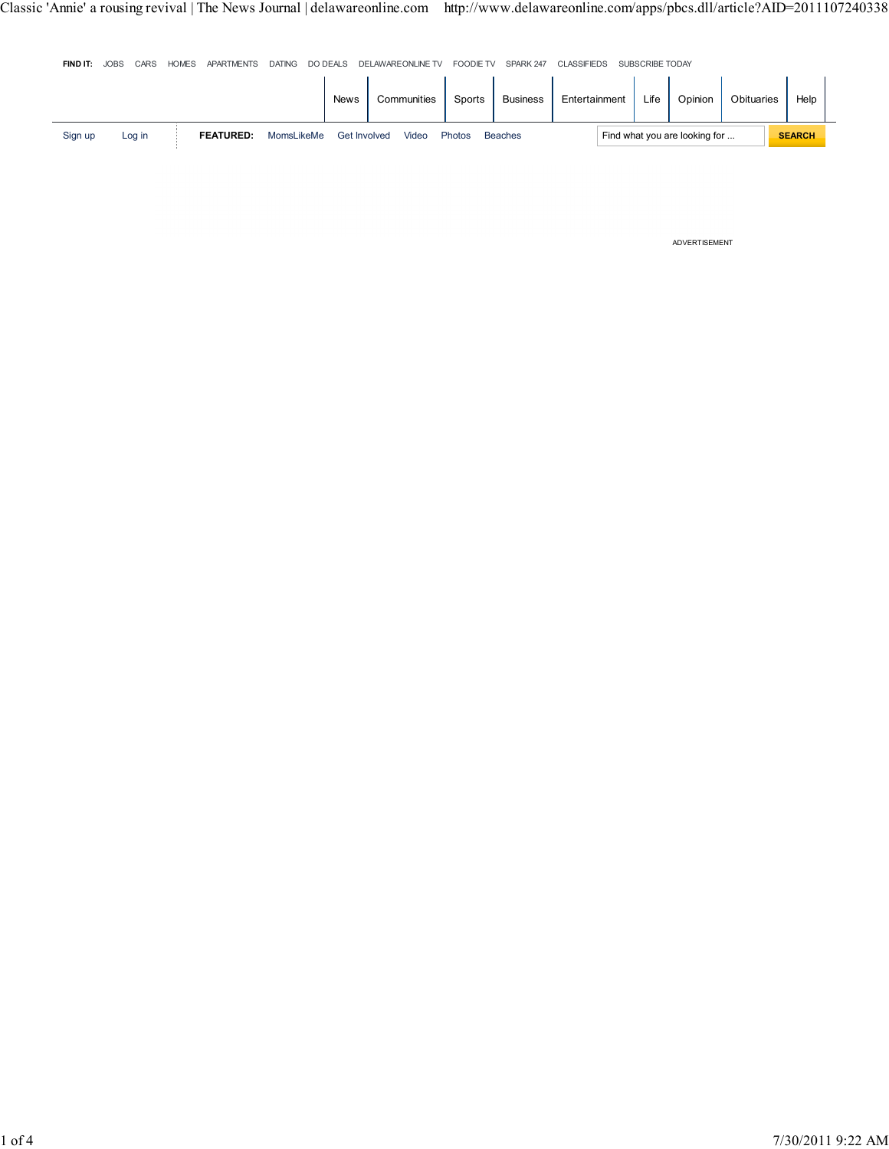| FIND IT: | <b>JOBS</b> | CARS   | <b>HOMES</b> | <b>APARTMENTS</b> | <b>DATING</b> | DO DEALS    |              | DELAWAREONLINE TV | <b>FOODIE TV</b> | SPARK 247       | <b>CLASSIFIEDS</b> | SUBSCRIBE TODAY |                               |            |               |  |
|----------|-------------|--------|--------------|-------------------|---------------|-------------|--------------|-------------------|------------------|-----------------|--------------------|-----------------|-------------------------------|------------|---------------|--|
|          |             |        |              |                   |               | <b>News</b> |              | Communities       | Sports           | <b>Business</b> | Entertainment      | Life            | Opinion                       | Obituaries | Help          |  |
| Sign up  |             | Log in |              | <b>FEATURED:</b>  | MomsLikeMe    |             | Get Involved | Video             | Photos           | <b>Beaches</b>  |                    |                 | Find what you are looking for |            | <b>SEARCH</b> |  |

ADVERTISEMENT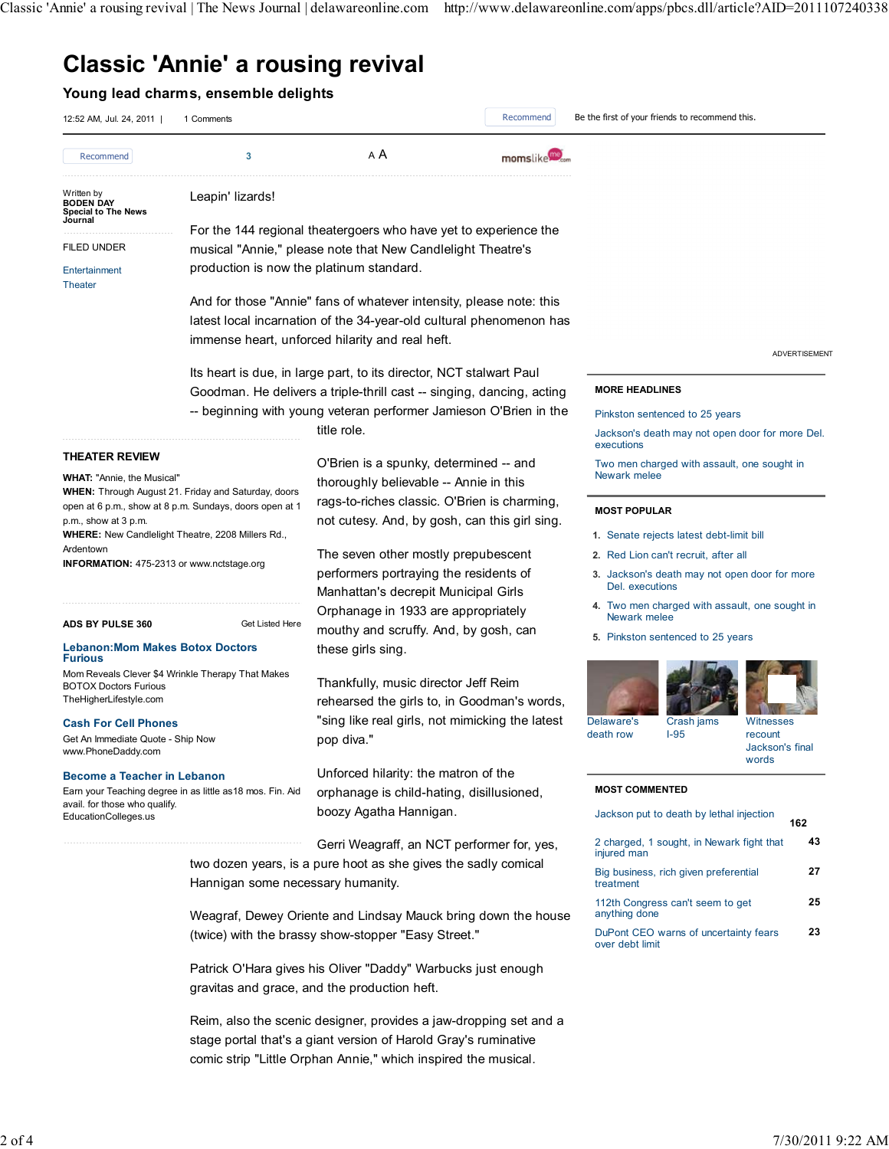## Classic 'Annie' a rousing revival

### Young lead charms, ensemble delights

| 12:52 AM, Jul. 24, 2011                                                                                                                          | 1 Comments                                                                                                            |                                                                                                                                                      | Recommend                                     | Be the first of your friends to recommend this.                                                                                                                            |                                         |  |  |
|--------------------------------------------------------------------------------------------------------------------------------------------------|-----------------------------------------------------------------------------------------------------------------------|------------------------------------------------------------------------------------------------------------------------------------------------------|-----------------------------------------------|----------------------------------------------------------------------------------------------------------------------------------------------------------------------------|-----------------------------------------|--|--|
| Recommend                                                                                                                                        | 3                                                                                                                     | A A                                                                                                                                                  | momslike                                      |                                                                                                                                                                            |                                         |  |  |
| Written by<br><b>BODEN DAY</b><br><b>Special to The News</b><br>Journal                                                                          | Leapin' lizards!                                                                                                      |                                                                                                                                                      |                                               |                                                                                                                                                                            |                                         |  |  |
|                                                                                                                                                  |                                                                                                                       | For the 144 regional theatergoers who have yet to experience the                                                                                     |                                               |                                                                                                                                                                            |                                         |  |  |
| <b>FILED UNDER</b>                                                                                                                               |                                                                                                                       | musical "Annie," please note that New Candlelight Theatre's                                                                                          |                                               |                                                                                                                                                                            |                                         |  |  |
| Entertainment<br><b>Theater</b>                                                                                                                  | production is now the platinum standard.                                                                              |                                                                                                                                                      |                                               |                                                                                                                                                                            |                                         |  |  |
|                                                                                                                                                  |                                                                                                                       | And for those "Annie" fans of whatever intensity, please note: this                                                                                  |                                               |                                                                                                                                                                            |                                         |  |  |
|                                                                                                                                                  |                                                                                                                       | latest local incarnation of the 34-year-old cultural phenomenon has                                                                                  |                                               |                                                                                                                                                                            |                                         |  |  |
|                                                                                                                                                  |                                                                                                                       | immense heart, unforced hilarity and real heft.                                                                                                      | <b>ADVERTISEMENT</b><br><b>MORE HEADLINES</b> |                                                                                                                                                                            |                                         |  |  |
|                                                                                                                                                  |                                                                                                                       | Its heart is due, in large part, to its director, NCT stalwart Paul                                                                                  |                                               |                                                                                                                                                                            |                                         |  |  |
|                                                                                                                                                  |                                                                                                                       | Goodman. He delivers a triple-thrill cast -- singing, dancing, acting                                                                                |                                               |                                                                                                                                                                            |                                         |  |  |
|                                                                                                                                                  |                                                                                                                       | -- beginning with young veteran performer Jamieson O'Brien in the                                                                                    |                                               | Pinkston sentenced to 25 years                                                                                                                                             |                                         |  |  |
|                                                                                                                                                  |                                                                                                                       | title role.                                                                                                                                          |                                               | Jackson's death may not open door for more Del.<br>executions                                                                                                              |                                         |  |  |
| <b>THEATER REVIEW</b><br><b>WHAT: "Annie, the Musical"</b>                                                                                       |                                                                                                                       | O'Brien is a spunky, determined -- and<br>thoroughly believable -- Annie in this                                                                     |                                               | Two men charged with assault, one sought in<br>Newark melee                                                                                                                |                                         |  |  |
|                                                                                                                                                  | <b>WHEN:</b> Through August 21. Friday and Saturday, doors<br>open at 6 p.m., show at 8 p.m. Sundays, doors open at 1 | rags-to-riches classic. O'Brien is charming,                                                                                                         |                                               | <b>MOST POPULAR</b>                                                                                                                                                        |                                         |  |  |
| p.m., show at 3 p.m.                                                                                                                             | <b>WHERE:</b> New Candlelight Theatre, 2208 Millers Rd.,                                                              | not cutesy. And, by gosh, can this girl sing.                                                                                                        |                                               | 1. Senate rejects latest debt-limit bill                                                                                                                                   |                                         |  |  |
| Ardentown                                                                                                                                        |                                                                                                                       | The seven other mostly prepubescent                                                                                                                  |                                               | 2. Red Lion can't recruit, after all<br>3. Jackson's death may not open door for more<br>Del. executions<br>4. Two men charged with assault, one sought in<br>Newark melee |                                         |  |  |
| <b>INFORMATION: 475-2313 or www.nctstage.org</b>                                                                                                 |                                                                                                                       | performers portraying the residents of<br>Manhattan's decrepit Municipal Girls                                                                       |                                               |                                                                                                                                                                            |                                         |  |  |
| ADS BY PULSE 360                                                                                                                                 | Get Listed Here                                                                                                       | Orphanage in 1933 are appropriately                                                                                                                  |                                               |                                                                                                                                                                            |                                         |  |  |
| <b>Lebanon: Mom Makes Botox Doctors</b><br><b>Furious</b>                                                                                        |                                                                                                                       | mouthy and scruffy. And, by gosh, can<br>these girls sing.                                                                                           |                                               | 5. Pinkston sentenced to 25 years                                                                                                                                          |                                         |  |  |
| <b>BOTOX Doctors Furious</b><br>TheHigherLifestyle.com<br><b>Cash For Cell Phones</b><br>Get An Immediate Quote - Ship Now<br>www.PhoneDaddy.com | Mom Reveals Clever \$4 Wrinkle Therapy That Makes                                                                     | Thankfully, music director Jeff Reim<br>rehearsed the girls to, in Goodman's words,<br>"sing like real girls, not mimicking the latest<br>pop diva." |                                               | Delaware's<br>Crash jams<br>$I-95$<br>death row                                                                                                                            | Witnesses<br>recount<br>Jackson's final |  |  |
| Become a Teacher in Lebanon                                                                                                                      |                                                                                                                       | Unforced hilarity: the matron of the                                                                                                                 |                                               |                                                                                                                                                                            | words                                   |  |  |
|                                                                                                                                                  | Earn your Teaching degree in as little as 18 mos. Fin. Aid                                                            | orphanage is child-hating, disillusioned,                                                                                                            |                                               | <b>MOST COMMENTED</b>                                                                                                                                                      |                                         |  |  |
| avail. for those who qualify.<br>EducationColleges.us                                                                                            |                                                                                                                       | boozy Agatha Hannigan.                                                                                                                               |                                               | Jackson put to death by lethal injection                                                                                                                                   |                                         |  |  |
|                                                                                                                                                  |                                                                                                                       | Gerri Weagraff, an NCT performer for, yes,                                                                                                           |                                               | 2 charged, 1 sought, in Newark fight that<br>injured man                                                                                                                   | 162<br>43                               |  |  |
| Hannigan some necessary humanity.                                                                                                                |                                                                                                                       | two dozen years, is a pure hoot as she gives the sadly comical                                                                                       |                                               | Big business, rich given preferential<br>treatment                                                                                                                         |                                         |  |  |
|                                                                                                                                                  |                                                                                                                       | Weagraf, Dewey Oriente and Lindsay Mauck bring down the house                                                                                        |                                               | 112th Congress can't seem to get<br>anything done                                                                                                                          |                                         |  |  |
|                                                                                                                                                  |                                                                                                                       | (twice) with the brassy show-stopper "Easy Street."                                                                                                  |                                               | DuPont CEO warns of uncertainty fears<br>over debt limit                                                                                                                   |                                         |  |  |
|                                                                                                                                                  |                                                                                                                       | Patrick O'Hara gives his Oliver "Daddy" Warbucks just enough<br>gravitas and grace, and the production heft.                                         |                                               |                                                                                                                                                                            |                                         |  |  |
|                                                                                                                                                  |                                                                                                                       | Reim, also the scenic designer, provides a jaw-dropping set and a<br>stage portal that's a giant version of Harold Gray's ruminative                 |                                               |                                                                                                                                                                            |                                         |  |  |

comic strip "Little Orphan Annie," which inspired the musical.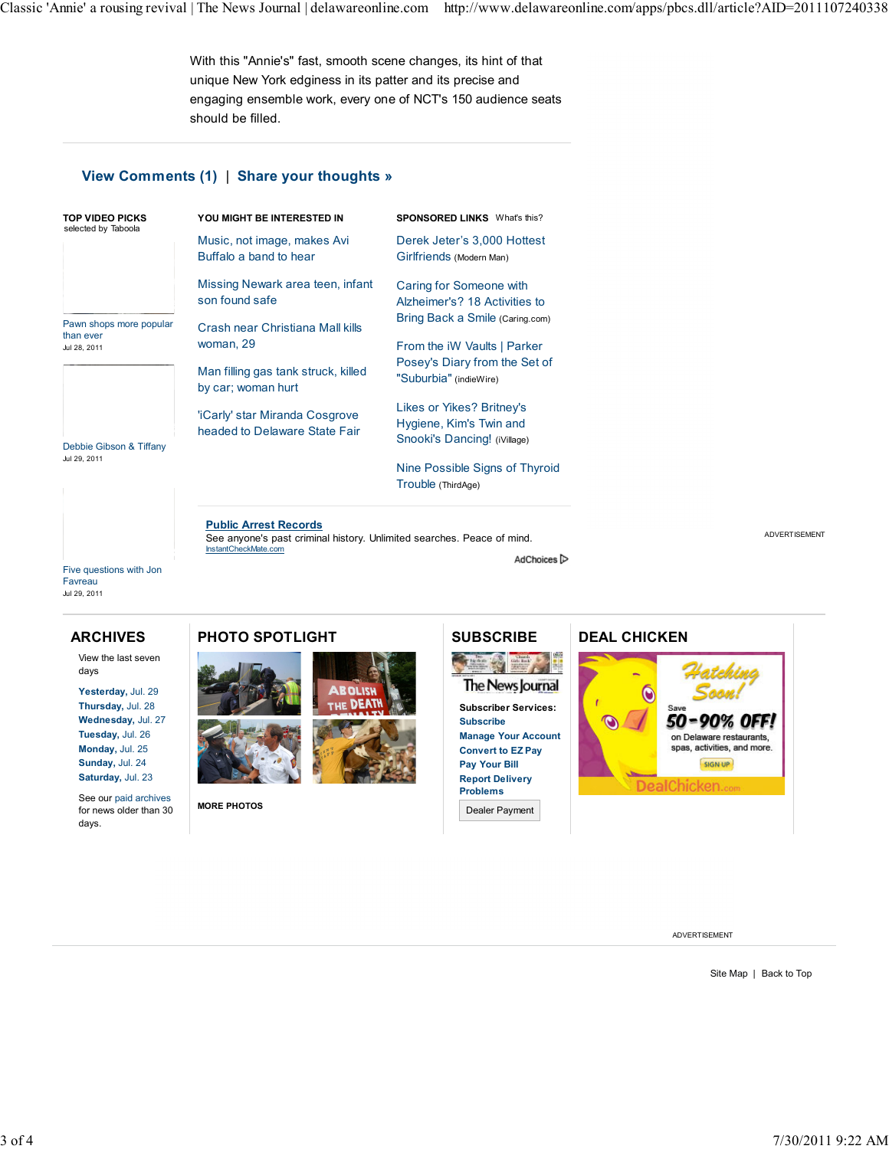With this "Annie's" fast, smooth scene changes, its hint of that unique New York edginess in its patter and its precise and engaging ensemble work, every one of NCT's 150 audience seats should be filled.

#### View Comments (1) | Share your thoughts »

| YOU MIGHT BE INTERESTED IN                                      | <b>SPONSORED LINKS</b> What's this?                                                  |  |  |  |
|-----------------------------------------------------------------|--------------------------------------------------------------------------------------|--|--|--|
| Music, not image, makes Avi                                     | Derek Jeter's 3,000 Hottest                                                          |  |  |  |
| Buffalo a band to hear                                          | Girlfriends (Modern Man)                                                             |  |  |  |
| Missing Newark area teen, infant                                | Caring for Someone with                                                              |  |  |  |
| son found safe                                                  | Alzheimer's? 18 Activities to                                                        |  |  |  |
| Crash near Christiana Mall kills                                | Bring Back a Smile (Caring.com)                                                      |  |  |  |
| woman, 29                                                       | From the <i>iW</i> Vaults   Parker                                                   |  |  |  |
| Man filling gas tank struck, killed                             | Posey's Diary from the Set of                                                        |  |  |  |
| by car; woman hurt                                              | "Suburbia" (indieWire)                                                               |  |  |  |
| 'iCarly' star Miranda Cosgrove<br>headed to Delaware State Fair | Likes or Yikes? Britney's<br>Hygiene, Kim's Twin and<br>Snooki's Dancing! (iVillage) |  |  |  |
|                                                                 | Nine Possible Signs of Thyroid<br>Trouble (ThirdAge)                                 |  |  |  |
|                                                                 |                                                                                      |  |  |  |

Public Arrest Records See anyone's past criminal history. Unlimited searches. Peace of mind. InstantCheckMate.com

AdChoices<sup>[></sup>

Five questions with Jon **Favreau** Jul 29, 2011

#### ARCHIVES

View the last seven days

Yesterday, Jul. 29 Thursday, Jul. 28 Wednesday, Jul. 27 Tuesday, Jul. 26 Monday, Jul. 25 Sunday, Jul. 24 Saturday, Jul. 23

See our paid archives for news older than 30 days.

#### PHOTO SPOTLIGHT



MORE PHOTOS



P II 發生 The News Journal Subscriber Services: Subscribe Manage Your Account Convert to EZ Pay Pay Your Bill Report Delivery Problems

Dealer Payment

# DEAL CHICKEN 50-90% OFF! on Delaware restaurants,

DealChicken

ADVERTISEMENT

spas, activities, and more. SIGN UP

Site Map | Back to Top

ADVERTISEMENT